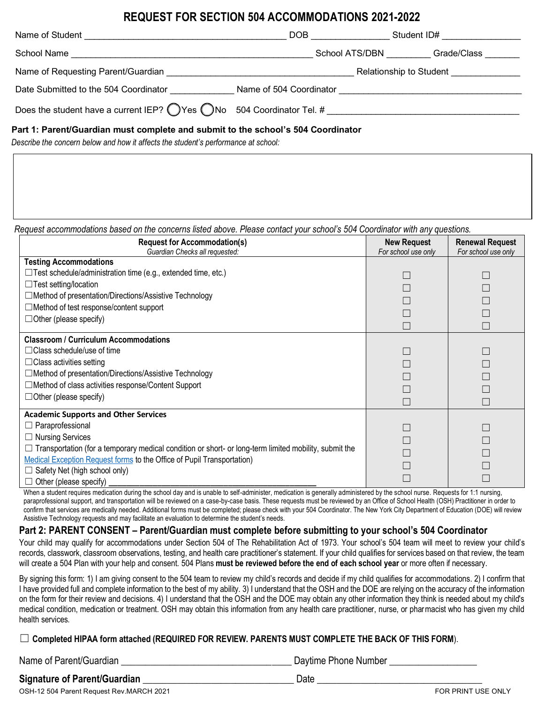# **REQUEST FOR SECTION 504 ACCOMMODATIONS 2021-2022**

| Name of Student                                                   | DOB                     | Student ID#             |
|-------------------------------------------------------------------|-------------------------|-------------------------|
| School Name                                                       | School ATS/DBN          | Grade/Class             |
| Name of Requesting Parent/Guardian                                |                         | Relationship to Student |
| Date Submitted to the 504 Coordinator                             | Name of 504 Coordinator |                         |
| Does the student have a current IEP? $\bigcirc$ Yes $\bigcirc$ No | 504 Coordinator Tel. #  |                         |

### **Part 1: Parent/Guardian must complete and submit to the school's 504 Coordinator**

*Describe the concern below and how it affects the student's performance at school:*

*Request accommodations based on the concerns listed above. Please contact your school's 504 Coordinator with any questions.*

| <b>Request for Accommodation(s)</b><br>Guardian Checks all requested:                                        | <b>New Request</b><br>For school use only | <b>Renewal Request</b><br>For school use only |
|--------------------------------------------------------------------------------------------------------------|-------------------------------------------|-----------------------------------------------|
| <b>Testing Accommodations</b>                                                                                |                                           |                                               |
| $\Box$ Test schedule/administration time (e.g., extended time, etc.)                                         |                                           |                                               |
| $\Box$ Test setting/location                                                                                 |                                           |                                               |
| □ Method of presentation/Directions/Assistive Technology                                                     |                                           |                                               |
| $\Box$ Method of test response/content support                                                               |                                           |                                               |
| $\Box$ Other (please specify)                                                                                |                                           |                                               |
|                                                                                                              |                                           |                                               |
| <b>Classroom / Curriculum Accommodations</b>                                                                 |                                           |                                               |
| $\Box$ Class schedule/use of time                                                                            |                                           |                                               |
| $\Box$ Class activities setting                                                                              |                                           |                                               |
| □ Method of presentation/Directions/Assistive Technology                                                     |                                           |                                               |
| □ Method of class activities response/Content Support                                                        |                                           |                                               |
| $\Box$ Other (please specify)                                                                                |                                           |                                               |
|                                                                                                              |                                           |                                               |
| <b>Academic Supports and Other Services</b><br>Paraprofessional                                              |                                           |                                               |
| <b>Nursing Services</b>                                                                                      |                                           |                                               |
| $\Box$ Transportation (for a temporary medical condition or short- or long-term limited mobility, submit the |                                           |                                               |
| Medical Exception Request forms to the Office of Pupil Transportation)                                       |                                           |                                               |
| Safety Net (high school only)                                                                                |                                           |                                               |
| Other (please specify)                                                                                       |                                           |                                               |

When a student requires medication during the school day and is unable to self-administer, medication is generally administered by the school nurse. Requests for 1:1 nursing, paraprofessional support, and transportation will be reviewed on a case-by-case basis. These requests must be reviewed by an Office of School Health (OSH) Practitioner in order to confirm that services are medically needed. Additional forms must be completed; please check with your 504 Coordinator. The New York City Department of Education (DOE) will review Assistive Technology requests and may facilitate an evaluation to determine the student's needs.

## **Part 2: PARENT CONSENT – Parent/Guardian must complete before submitting to your school's 504 Coordinator**

Your child may qualify for accommodations under Section 504 of The Rehabilitation Act of 1973. Your school's 504 team will meet to review your child's records, classwork, classroom observations, testing, and health care practitioner's statement. If your child qualifies for services based on that review, the team will create a 504 Plan with your help and consent. 504 Plans **must be reviewed before the end of each school year** or more often if necessary.

By signing this form: 1) I am giving consent to the 504 team to review my child's records and decide if my child qualifies for accommodations. 2) I confirm that I have provided full and complete information to the best of my ability. 3) I understand that the OSH and the DOE are relying on the accuracy of the information on the form for their review and decisions. 4) I understand that the OSH and the DOE may obtain any other information they think is needed about my child's medical condition, medication or treatment. OSH may obtain this information from any health care practitioner, nurse, or pharmacist who has given my child health services.

☐ **Completed HIPAA form attached (REQUIRED FOR REVIEW. PARENTS MUST COMPLETE THE BACK OF THIS FORM**).

Name of Parent/Guardian \_\_\_\_\_\_\_\_\_\_\_\_\_\_\_\_\_\_\_\_\_\_\_\_\_\_\_\_\_\_\_\_\_\_\_ Daytime Phone Number \_\_\_\_\_\_\_\_\_\_\_\_\_\_\_\_\_\_

# **Signature of Parent/Guardian** \_\_\_\_\_\_\_\_\_\_\_\_\_\_\_\_\_\_\_\_\_\_\_\_\_\_\_\_\_\_\_ Date \_\_\_\_\_\_\_\_\_\_\_\_\_\_\_\_\_\_\_\_\_\_\_\_\_\_\_\_\_\_\_\_\_\_